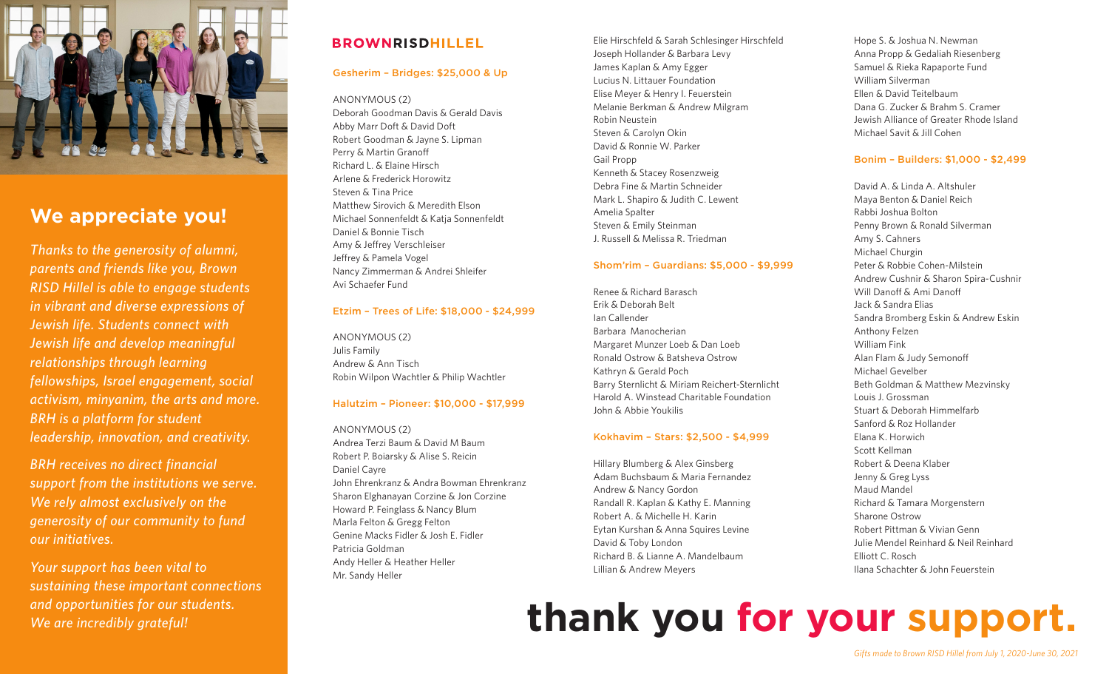

# **We appreciate you!**

*Thanks to the generosity of alumni, parents and friends like you, Brown RISD Hillel is able to engage students in vibrant and diverse expressions of Jewish life. Students connect with Jewish life and develop meaningful relationships through learning fellowships, Israel engagement, social activism, minyanim, the arts and more. BRH is a platform for student leadership, innovation, and creativity.*

*BRH receives no direct financial support from the institutions we serve. We rely almost exclusively on the generosity of our community to fund our initiatives.* 

*Your support has been vital to sustaining these important connections and opportunities for our students.* 

# **BROWNRISDHILLEL**

#### Gesherim – Bridges: \$25,000 & Up

#### ANONYMOUS (2)

Deborah Goodman Davis & Gerald Davis Abby Marr Doft & David Doft Robert Goodman & Jayne S. Lipman Perry & Martin Granoff Richard L. & Elaine Hirsch Arlene & Frederick Horowitz Steven & Tina Price Matthew Sirovich & Meredith Elson Michael Sonnenfeldt & Katja Sonnenfeldt Daniel & Bonnie Tisch Amy & Jeffrey Verschleiser Jeffrey & Pamela Vogel Nancy Zimmerman & Andrei Shleifer Avi Schaefer Fund

#### Etzim – Trees of Life: \$18,000 - \$24,999

ANONYMOUS (2) Julis Family Andrew & Ann Tisch Robin Wilpon Wachtler & Philip Wachtler

#### Halutzim – Pioneer: \$10,000 - \$17,999

ANONYMOUS (2) Andrea Terzi Baum & David M Baum Robert P. Boiarsky & Alise S. Reicin Daniel Cayre John Ehrenkranz & Andra Bowman Ehrenkranz Sharon Elghanayan Corzine & Jon Corzine Howard P. Feinglass & Nancy Blum Marla Felton & Gregg Felton Genine Macks Fidler & Josh E. Fidler Patricia Goldman Andy Heller & Heather Heller Mr. Sandy Heller

Elie Hirschfeld & Sarah Schlesinger Hirschfeld Joseph Hollander & Barbara Levy James Kaplan & Amy Egger Lucius N. Littauer Foundation Elise Meyer & Henry I. Feuerstein Melanie Berkman & Andrew Milgram Robin Neustein Steven & Carolyn Okin David & Ronnie W. Parker Gail Propp Kenneth & Stacey Rosenzweig Debra Fine & Martin Schneider Mark L. Shapiro & Judith C. Lewent Amelia Spalter Steven & Emily Steinman J. Russell & Melissa R. Triedman

#### Shom'rim – Guardians: \$5,000 - \$9,999

Renee & Richard Barasch Erik & Deborah Belt Ian Callender Barbara Manocherian Margaret Munzer Loeb & Dan Loeb Ronald Ostrow & Batsheva Ostrow Kathryn & Gerald Poch Barry Sternlicht & Miriam Reichert-Sternlicht Harold A. Winstead Charitable Foundation John & Abbie Youkilis

#### Kokhavim – Stars: \$2,500 - \$4,999

Hillary Blumberg & Alex Ginsberg Adam Buchsbaum & Maria Fernandez Andrew & Nancy Gordon Randall R. Kaplan & Kathy E. Manning Robert A. & Michelle H. Karin Eytan Kurshan & Anna Squires Levine David & Toby London Richard B. & Lianne A. Mandelbaum Lillian & Andrew Meyers

Hope S. & Joshua N. Newman Anna Propp & Gedaliah Riesenberg Samuel & Rieka Rapaporte Fund William Silverman Ellen & David Teitelbaum Dana G. Zucker & Brahm S. Cramer Jewish Alliance of Greater Rhode Island Michael Savit & Jill Cohen

#### Bonim – Builders: \$1,000 - \$2,499

David A. & Linda A. Altshuler Maya Benton & Daniel Reich Rabbi Joshua Bolton Penny Brown & Ronald Silverman Amy S. Cahners Michael Churgin Peter & Robbie Cohen-Milstein Andrew Cushnir & Sharon Spira-Cushnir Will Danoff & Ami Danoff Jack & Sandra Elias Sandra Bromberg Eskin & Andrew Eskin Anthony Felzen William Fink Alan Flam & Judy Semonoff Michael Gevelber Beth Goldman & Matthew Mezvinsky Louis J. Grossman Stuart & Deborah Himmelfarb Sanford & Roz Hollander Elana K. Horwich Scott Kellman Robert & Deena Klaber Jenny & Greg Lyss Maud Mandel Richard & Tamara Morgenstern Sharone Ostrow Robert Pittman & Vivian Genn Julie Mendel Reinhard & Neil Reinhard Elliott C. Rosch Ilana Schachter & John Feuerstein

# *Definition of the comportunities for our students. thank you for your support.*

*Gifts made to Brown RISD Hillel from July 1, 2020-June 30, 2021*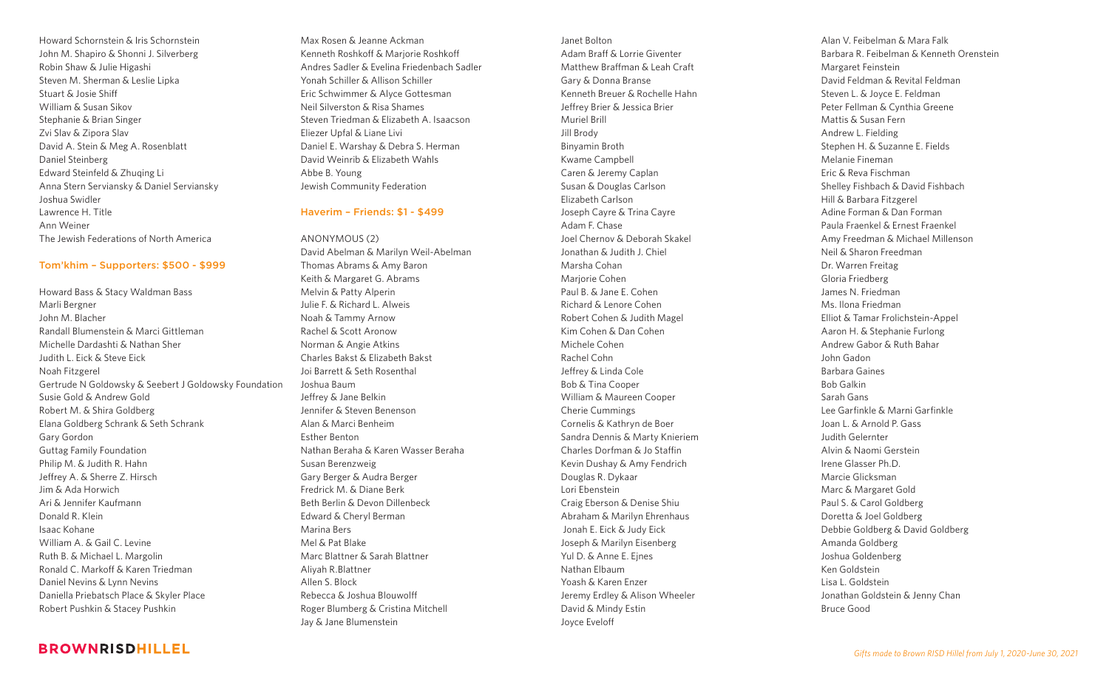Howard Schornstein & Iris Schornstein John M. Shapiro & Shonni J. Silverberg Robin Shaw & Julie Higashi Steven M. Sherman & Leslie Lipka Stuart & Josie Shiff William & Susan Sikov Stephanie & Brian Singer Zvi Slav & Zipora Slav David A. Stein & Meg A. Rosenblatt Daniel Steinberg Edward Steinfeld & Zhuqing Li Anna Stern Serviansky & Daniel Serviansky Joshua Swidler Lawrence H. Title Ann Weiner The Jewish Federations of North America

#### Tom'khim – Supporters: \$500 - \$999

Howard Bass & Stacy Waldman Bass Marli Bergner John M. Blacher Randall Blumenstein & Marci Gittleman Michelle Dardashti & Nathan Sher Judith L. Eick & Steve Eick Noah Fitzgerel Gertrude N Goldowsky & Seebert J Goldowsky Foundation Susie Gold & Andrew Gold Robert M. & Shira Goldberg Elana Goldberg Schrank & Seth Schrank Gary Gordon Guttag Family Foundation Philip M. & Judith R. Hahn Jeffrey A. & Sherre Z. Hirsch Jim & Ada Horwich Ari & Jennifer Kaufmann Donald R. Klein Isaac Kohane William A. & Gail C. Levine Ruth B. & Michael L. Margolin Ronald C. Markoff & Karen Triedman Daniel Nevins & Lynn Nevins Daniella Priebatsch Place & Skyler Place Robert Pushkin & Stacey Pushkin

Max Rosen & Jeanne Ackman Kenneth Roshkoff & Marjorie Roshkoff Andres Sadler & Evelina Friedenbach Sadler Yonah Schiller & Allison Schiller Eric Schwimmer & Alyce Gottesman Neil Silverston & Risa Shames Steven Triedman & Elizabeth A. Isaacson Eliezer Upfal & Liane Livi Daniel E. Warshay & Debra S. Herman David Weinrib & Elizabeth Wahls Abbe B. Young Jewish Community Federation

#### Haverim – Friends: \$1 - \$499

ANONYMOUS (2) David Abelman & Marilyn Weil-Abelman Thomas Abrams & Amy Baron Keith & Margaret G. Abrams Melvin & Patty Alperin Julie F. & Richard L. Alweis Noah & Tammy Arnow Rachel & Scott Aronow Norman & Angie Atkins Charles Bakst & Elizabeth Bakst Joi Barrett & Seth Rosenthal Joshua Baum Jeffrey & Jane Belkin Jennifer & Steven Benenson Alan & Marci Benheim Esther Benton Nathan Beraha & Karen Wasser Beraha Susan Berenzweig Gary Berger & Audra Berger Fredrick M. & Diane Berk Beth Berlin & Devon Dillenbeck Edward & Cheryl Berman Marina Bers Mel & Pat Blake Marc Blattner & Sarah Blattner Aliyah R.Blattner Allen S. Block Rebecca & Joshua Blouwolff Roger Blumberg & Cristina Mitchell Jay & Jane Blumenstein

Janet Bolton Adam Braff & Lorrie Giventer Matthew Braffman & Leah Craft Gary & Donna Branse Kenneth Breuer & Rochelle Hahn Jeffrey Brier & Jessica Brier Muriel Brill Jill Brody Binyamin Broth Kwame Campbell Caren & Jeremy Caplan Susan & Douglas Carlson Elizabeth Carlson Joseph Cayre & Trina Cayre Adam F. Chase Joel Chernov & Deborah Skakel Jonathan & Judith J. Chiel Marsha Cohan Marjorie Cohen Paul B. & Jane E. Cohen Richard & Lenore Cohen Robert Cohen & Judith Magel Kim Cohen & Dan Cohen Michele Cohen Rachel Cohn Jeffrey & Linda Cole Bob & Tina Cooper William & Maureen Cooper Cherie Cummings Cornelis & Kathryn de Boer Sandra Dennis & Marty Knieriem Charles Dorfman & Jo Staffin Kevin Dushay & Amy Fendrich Douglas R. Dykaar Lori Ebenstein Craig Eberson & Denise Shiu Abraham & Marilyn Ehrenhaus Jonah E. Eick & Judy Eick Joseph & Marilyn Eisenberg Yul D. & Anne E. Ejnes Nathan Elbaum Yoash & Karen Enzer Jeremy Erdley & Alison Wheeler David & Mindy Estin Joyce Eveloff

Alan V. Feibelman & Mara Falk Barbara R. Feibelman & Kenneth Orenstein Margaret Feinstein David Feldman & Revital Feldman Steven L. & Joyce E. Feldman Peter Fellman & Cynthia Greene Mattis & Susan Fern Andrew L. Fielding Stephen H. & Suzanne E. Fields Melanie Fineman Eric & Reva Fischman Shelley Fishbach & David Fishbach Hill & Barbara Fitzgerel Adine Forman & Dan Forman Paula Fraenkel & Ernest Fraenkel Amy Freedman & Michael Millenson Neil & Sharon Freedman Dr. Warren Freitag Gloria Friedberg James N. Friedman Ms. Ilona Friedman Elliot & Tamar Frolichstein-Appel Aaron H. & Stephanie Furlong Andrew Gabor & Ruth Bahar John Gadon Barbara Gaines Bob Galkin Sarah Gans Lee Garfinkle & Marni Garfinkle Joan L. & Arnold P. Gass Judith Gelernter Alvin & Naomi Gerstein Irene Glasser Ph.D. Marcie Glicksman Marc & Margaret Gold Paul S. & Carol Goldberg Doretta & Joel Goldberg Debbie Goldberg & David Goldberg Amanda Goldberg Joshua Goldenberg Ken Goldstein Lisa L. Goldstein Jonathan Goldstein & Jenny Chan Bruce Good

## **BROWNRISDHILLEL**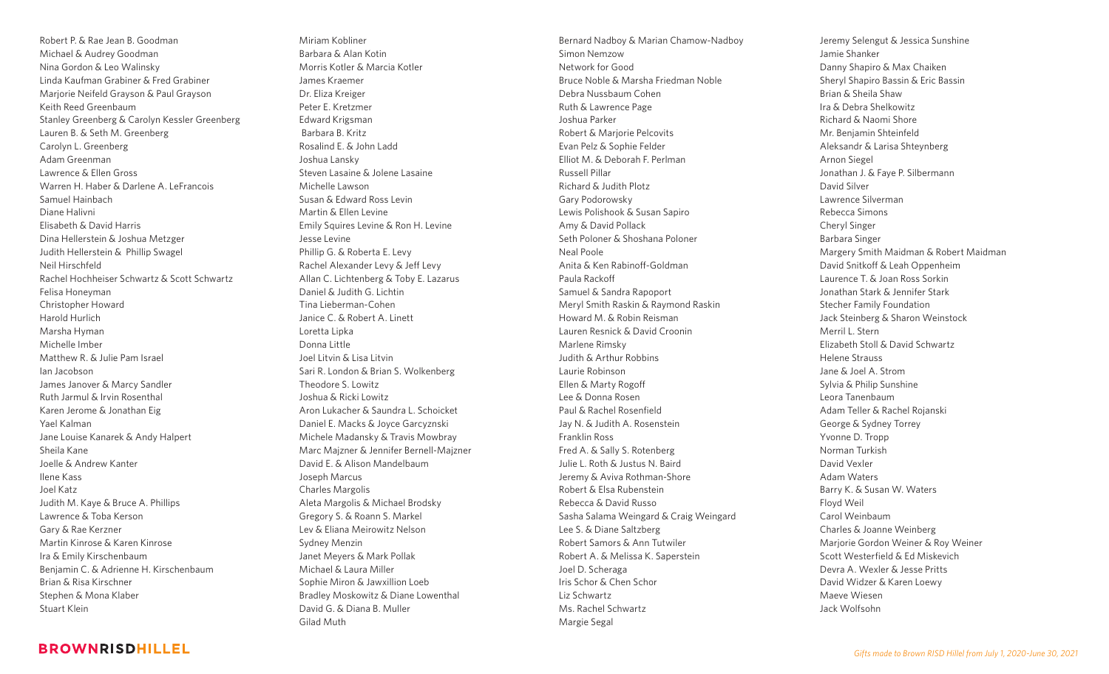Robert P. & Rae Jean B. Goodman Michael & Audrey Goodman Nina Gordon & Leo Walinsky Linda Kaufman Grabiner & Fred Grabiner Marjorie Neifeld Grayson & Paul Grayson Keith Reed Greenbaum Stanley Greenberg & Carolyn Kessler Greenberg Lauren B. & Seth M. Greenberg Carolyn L. Greenberg Adam Greenman Lawrence & Ellen Gross Warren H. Haber & Darlene A. LeFrancois Samuel Hainbach Diane Halivni Elisabeth & David Harris Dina Hellerstein & Joshua Metzger Judith Hellerstein & Phillip Swagel Neil Hirschfeld Rachel Hochheiser Schwartz & Scott Schwartz Felisa Honeyman Christopher Howard Harold Hurlich Marsha Hyman Michelle Imber Matthew R. & Julie Pam Israel Ian Jacobson James Janover & Marcy Sandler Ruth Jarmul & Irvin Rosenthal Karen Jerome & Jonathan Eig Yael Kalman Jane Louise Kanarek & Andy Halpert Sheila Kane Joelle & Andrew Kanter Ilene Kass Joel Katz Judith M. Kaye & Bruce A. Phillips Lawrence & Toba Kerson Gary & Rae Kerzner Martin Kinrose & Karen Kinrose Ira & Emily Kirschenbaum Benjamin C. & Adrienne H. Kirschenbaum Brian & Risa Kirschner Stephen & Mona Klaber Stuart Klein

Miriam Kobliner Barbara & Alan Kotin Morris Kotler & Marcia Kotler James Kraemer Dr. Eliza Kreiger Peter E. Kretzmer Edward Krigsman Barbara B. Kritz Rosalind E. & John Ladd Joshua Lansky Steven Lasaine & Jolene Lasaine Michelle Lawson Susan & Edward Ross Levin Martin & Ellen Levine Emily Squires Levine & Ron H. Levine Jesse Levine Phillip G. & Roberta E. Levy Rachel Alexander Levy & Jeff Levy Allan C. Lichtenberg & Toby E. Lazarus Daniel & Judith G. Lichtin Tina Lieberman-Cohen Janice C. & Robert A. Linett Loretta Lipka Donna Little Joel Litvin & Lisa Litvin Sari R. London & Brian S. Wolkenberg Theodore S. Lowitz Joshua & Ricki Lowitz Aron Lukacher & Saundra L. Schoicket Daniel E. Macks & Joyce Garcyznski Michele Madansky & Travis Mowbray Marc Majzner & Jennifer Bernell-Majzner David E. & Alison Mandelbaum Joseph Marcus Charles Margolis Aleta Margolis & Michael Brodsky Gregory S. & Roann S. Markel Lev & Eliana Meirowitz Nelson Sydney Menzin Janet Meyers & Mark Pollak Michael & Laura Miller Sophie Miron & Jawxillion Loeb Bradley Moskowitz & Diane Lowenthal David G. & Diana B. Muller Gilad Muth

Bernard Nadboy & Marian Chamow-Nadboy Simon Nemzow Network for Good Bruce Noble & Marsha Friedman Noble Debra Nussbaum Cohen Ruth & Lawrence Page Joshua Parker Robert & Marjorie Pelcovits Evan Pelz & Sophie Felder Elliot M. & Deborah F. Perlman Russell Pillar Richard & Judith Plotz Gary Podorowsky Lewis Polishook & Susan Sapiro Amy & David Pollack Seth Poloner & Shoshana Poloner Neal Poole Anita & Ken Rabinoff-Goldman Paula Rackoff Samuel & Sandra Rapoport Meryl Smith Raskin & Raymond Raskin Howard M. & Robin Reisman Lauren Resnick & David Croonin Marlene Rimsky Judith & Arthur Robbins Laurie Robinson Ellen & Marty Rogoff Lee & Donna Rosen Paul & Rachel Rosenfield Jay N. & Judith A. Rosenstein Franklin Ross Fred A. & Sally S. Rotenberg Julie L. Roth & Justus N. Baird Jeremy & Aviva Rothman-Shore Robert & Elsa Rubenstein Rebecca & David Russo Sasha Salama Weingard & Craig Weingard Lee S. & Diane Saltzberg Robert Samors & Ann Tutwiler Robert A. & Melissa K. Saperstein Joel D. Scheraga Iris Schor & Chen Schor Liz Schwartz Ms. Rachel Schwartz Margie Segal

Jeremy Selengut & Jessica Sunshine Jamie Shanker Danny Shapiro & Max Chaiken Sheryl Shapiro Bassin & Eric Bassin Brian & Sheila Shaw Ira & Debra Shelkowitz Richard & Naomi Shore Mr. Benjamin Shteinfeld Aleksandr & Larisa Shteynberg Arnon Siegel Jonathan J. & Faye P. Silbermann David Silver Lawrence Silverman Rebecca Simons Cheryl Singer Barbara Singer Margery Smith Maidman & Robert Maidman David Snitkoff & Leah Oppenheim Laurence T. & Joan Ross Sorkin Jonathan Stark & Jennifer Stark Stecher Family Foundation Jack Steinberg & Sharon Weinstock Merril L. Stern Elizabeth Stoll & David Schwartz Helene Strauss Jane & Joel A. Strom Sylvia & Philip Sunshine Leora Tanenbaum Adam Teller & Rachel Rojanski George & Sydney Torrey Yvonne D. Tropp Norman Turkish David Vexler Adam Waters Barry K. & Susan W. Waters Floyd Weil Carol Weinbaum Charles & Joanne Weinberg Marjorie Gordon Weiner & Roy Weiner Scott Westerfield & Ed Miskevich Devra A. Wexler & Jesse Pritts David Widzer & Karen Loewy Maeve Wiesen Jack Wolfsohn

### **BROWNRISDHILLEL**